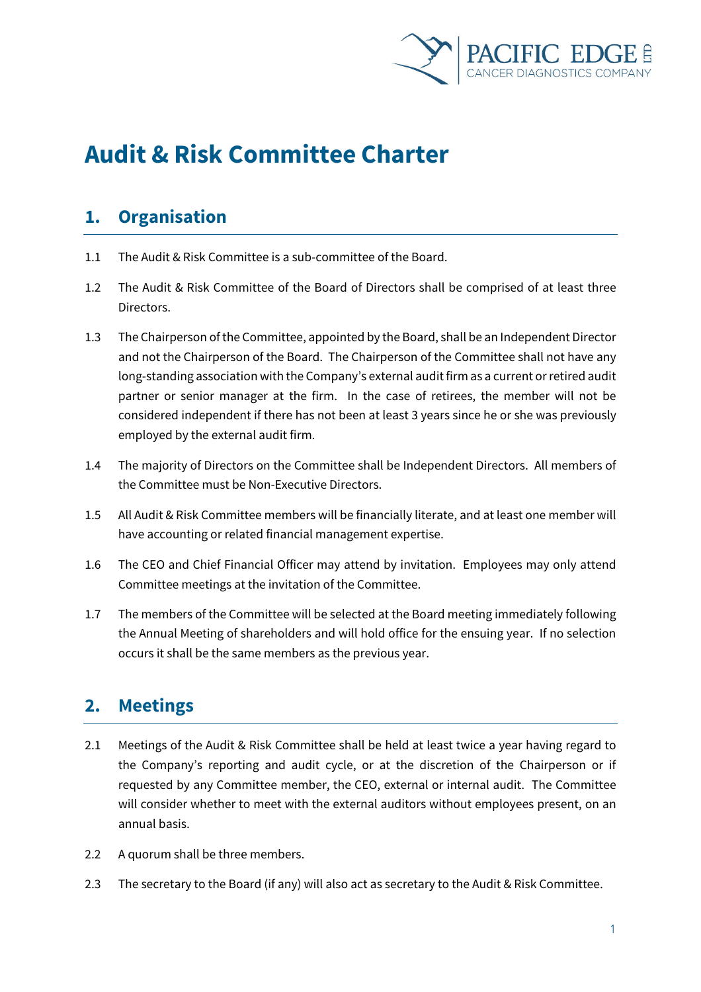

# **Audit & Risk Committee Charter**

# **1. Organisation**

- 1.1 The Audit & Risk Committee is a sub-committee of the Board.
- 1.2 The Audit & Risk Committee of the Board of Directors shall be comprised of at least three Directors.
- 1.3 The Chairperson of the Committee, appointed by the Board, shall be an Independent Director and not the Chairperson of the Board. The Chairperson of the Committee shall not have any long-standing association with the Company's external audit firm as a current or retired audit partner or senior manager at the firm. In the case of retirees, the member will not be considered independent if there has not been at least 3 years since he or she was previously employed by the external audit firm.
- 1.4 The majority of Directors on the Committee shall be Independent Directors. All members of the Committee must be Non-Executive Directors.
- 1.5 All Audit & Risk Committee members will be financially literate, and at least one member will have accounting or related financial management expertise.
- 1.6 The CEO and Chief Financial Officer may attend by invitation. Employees may only attend Committee meetings at the invitation of the Committee.
- 1.7 The members of the Committee will be selected at the Board meeting immediately following the Annual Meeting of shareholders and will hold office for the ensuing year. If no selection occurs it shall be the same members as the previous year.

# **2. Meetings**

- 2.1 Meetings of the Audit & Risk Committee shall be held at least twice a year having regard to the Company's reporting and audit cycle, or at the discretion of the Chairperson or if requested by any Committee member, the CEO, external or internal audit. The Committee will consider whether to meet with the external auditors without employees present, on an annual basis.
- 2.2 A quorum shall be three members.
- 2.3 The secretary to the Board (if any) will also act as secretary to the Audit & Risk Committee.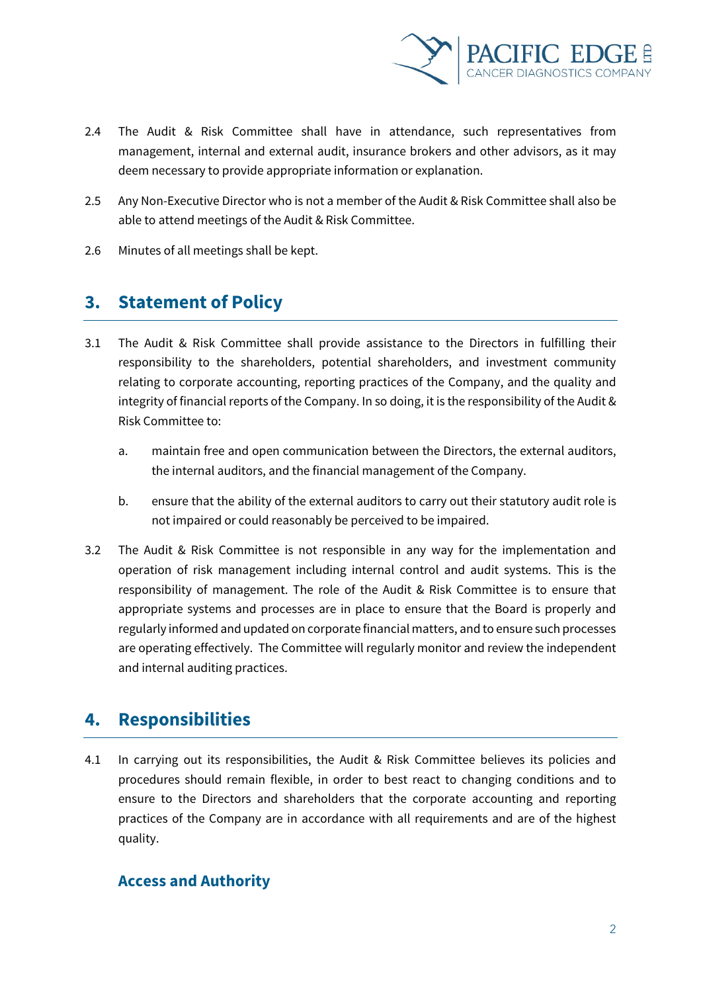

- 2.4 The Audit & Risk Committee shall have in attendance, such representatives from management, internal and external audit, insurance brokers and other advisors, as it may deem necessary to provide appropriate information or explanation.
- 2.5 Any Non-Executive Director who is not a member of the Audit & Risk Committee shall also be able to attend meetings of the Audit & Risk Committee.
- 2.6 Minutes of all meetings shall be kept.

### **3. Statement of Policy**

- 3.1 The Audit & Risk Committee shall provide assistance to the Directors in fulfilling their responsibility to the shareholders, potential shareholders, and investment community relating to corporate accounting, reporting practices of the Company, and the quality and integrity of financial reports of the Company. In so doing, it is the responsibility of the Audit & Risk Committee to:
	- a. maintain free and open communication between the Directors, the external auditors, the internal auditors, and the financial management of the Company.
	- b. ensure that the ability of the external auditors to carry out their statutory audit role is not impaired or could reasonably be perceived to be impaired.
- 3.2 The Audit & Risk Committee is not responsible in any way for the implementation and operation of risk management including internal control and audit systems. This is the responsibility of management. The role of the Audit & Risk Committee is to ensure that appropriate systems and processes are in place to ensure that the Board is properly and regularly informed and updated on corporate financial matters, and to ensure such processes are operating effectively. The Committee will regularly monitor and review the independent and internal auditing practices.

# **4. Responsibilities**

4.1 In carrying out its responsibilities, the Audit & Risk Committee believes its policies and procedures should remain flexible, in order to best react to changing conditions and to ensure to the Directors and shareholders that the corporate accounting and reporting practices of the Company are in accordance with all requirements and are of the highest quality.

#### **Access and Authority**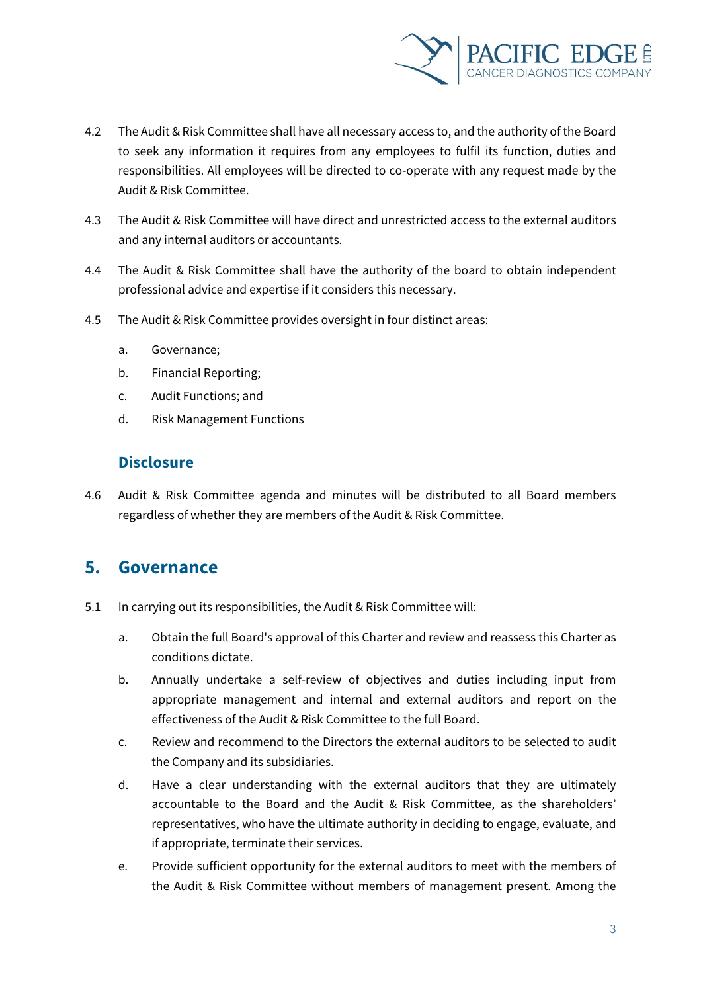

- 4.2 The Audit & Risk Committee shall have all necessary access to, and the authority of the Board to seek any information it requires from any employees to fulfil its function, duties and responsibilities. All employees will be directed to co-operate with any request made by the Audit & Risk Committee.
- 4.3 The Audit & Risk Committee will have direct and unrestricted access to the external auditors and any internal auditors or accountants.
- 4.4 The Audit & Risk Committee shall have the authority of the board to obtain independent professional advice and expertise if it considers this necessary.
- 4.5 The Audit & Risk Committee provides oversight in four distinct areas:
	- a. Governance;
	- b. Financial Reporting;
	- c. Audit Functions; and
	- d. Risk Management Functions

#### **Disclosure**

4.6 Audit & Risk Committee agenda and minutes will be distributed to all Board members regardless of whether they are members of the Audit & Risk Committee.

# **5. Governance**

- 5.1 In carrying out its responsibilities, the Audit & Risk Committee will:
	- a. Obtain the full Board's approval of this Charter and review and reassess this Charter as conditions dictate.
	- b. Annually undertake a self-review of objectives and duties including input from appropriate management and internal and external auditors and report on the effectiveness of the Audit & Risk Committee to the full Board.
	- c. Review and recommend to the Directors the external auditors to be selected to audit the Company and its subsidiaries.
	- d. Have a clear understanding with the external auditors that they are ultimately accountable to the Board and the Audit & Risk Committee, as the shareholders' representatives, who have the ultimate authority in deciding to engage, evaluate, and if appropriate, terminate their services.
	- e. Provide sufficient opportunity for the external auditors to meet with the members of the Audit & Risk Committee without members of management present. Among the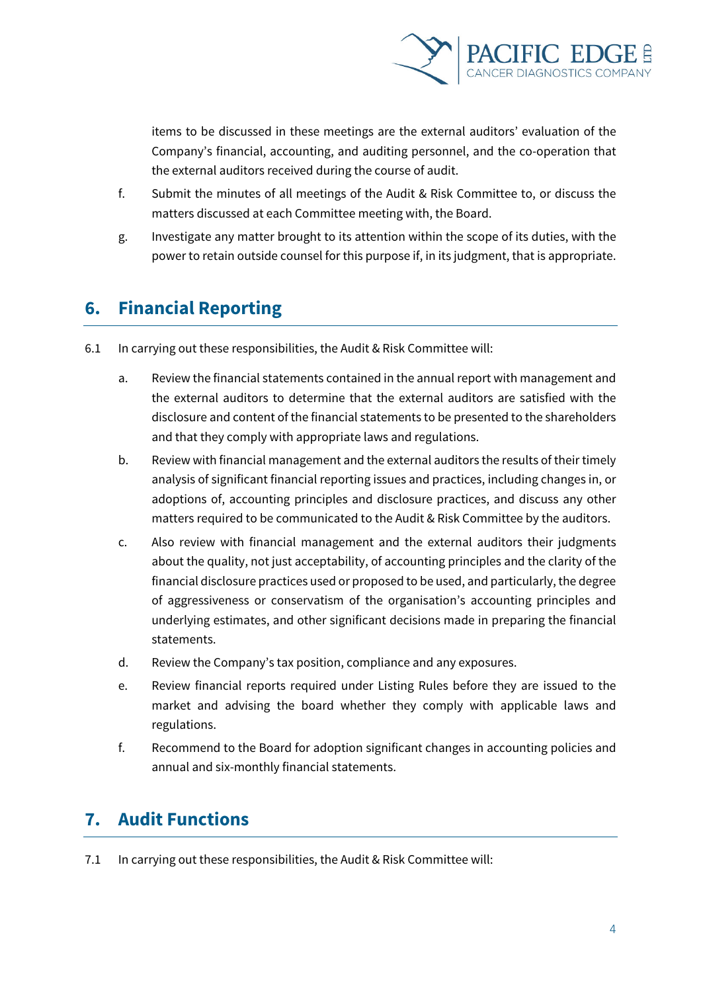

items to be discussed in these meetings are the external auditors' evaluation of the Company's financial, accounting, and auditing personnel, and the co-operation that the external auditors received during the course of audit.

- f. Submit the minutes of all meetings of the Audit & Risk Committee to, or discuss the matters discussed at each Committee meeting with, the Board.
- g. Investigate any matter brought to its attention within the scope of its duties, with the power to retain outside counsel for this purpose if, in its judgment, that is appropriate.

# **6. Financial Reporting**

- 6.1 In carrying out these responsibilities, the Audit & Risk Committee will:
	- a. Review the financial statements contained in the annual report with management and the external auditors to determine that the external auditors are satisfied with the disclosure and content of the financial statements to be presented to the shareholders and that they comply with appropriate laws and regulations.
	- b. Review with financial management and the external auditors the results of their timely analysis of significant financial reporting issues and practices, including changes in, or adoptions of, accounting principles and disclosure practices, and discuss any other matters required to be communicated to the Audit & Risk Committee by the auditors.
	- c. Also review with financial management and the external auditors their judgments about the quality, not just acceptability, of accounting principles and the clarity of the financial disclosure practices used or proposed to be used, and particularly, the degree of aggressiveness or conservatism of the organisation's accounting principles and underlying estimates, and other significant decisions made in preparing the financial statements.
	- d. Review the Company's tax position, compliance and any exposures.
	- e. Review financial reports required under Listing Rules before they are issued to the market and advising the board whether they comply with applicable laws and regulations.
	- f. Recommend to the Board for adoption significant changes in accounting policies and annual and six-monthly financial statements.

# **7. Audit Functions**

7.1 In carrying out these responsibilities, the Audit & Risk Committee will: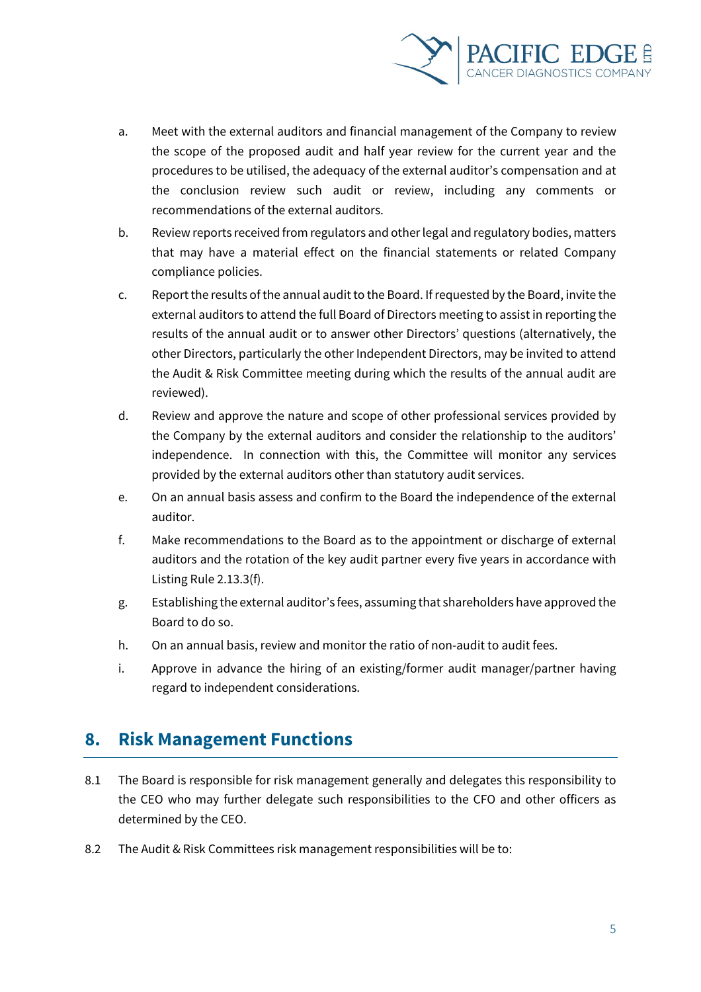

- a. Meet with the external auditors and financial management of the Company to review the scope of the proposed audit and half year review for the current year and the procedures to be utilised, the adequacy of the external auditor's compensation and at the conclusion review such audit or review, including any comments or recommendations of the external auditors.
- b. Review reports received from regulators and other legal and regulatory bodies, matters that may have a material effect on the financial statements or related Company compliance policies.
- c. Report the results of the annual audit to the Board. If requested by the Board, invite the external auditors to attend the full Board of Directors meeting to assist in reporting the results of the annual audit or to answer other Directors' questions (alternatively, the other Directors, particularly the other Independent Directors, may be invited to attend the Audit & Risk Committee meeting during which the results of the annual audit are reviewed).
- d. Review and approve the nature and scope of other professional services provided by the Company by the external auditors and consider the relationship to the auditors' independence. In connection with this, the Committee will monitor any services provided by the external auditors other than statutory audit services.
- e. On an annual basis assess and confirm to the Board the independence of the external auditor.
- f. Make recommendations to the Board as to the appointment or discharge of external auditors and the rotation of the key audit partner every five years in accordance with Listing Rule 2.13.3(f).
- g. Establishing the external auditor's fees, assuming that shareholders have approved the Board to do so.
- h. On an annual basis, review and monitor the ratio of non-audit to audit fees.
- i. Approve in advance the hiring of an existing/former audit manager/partner having regard to independent considerations.

# **8. Risk Management Functions**

- 8.1 The Board is responsible for risk management generally and delegates this responsibility to the CEO who may further delegate such responsibilities to the CFO and other officers as determined by the CEO.
- 8.2 The Audit & Risk Committees risk management responsibilities will be to: